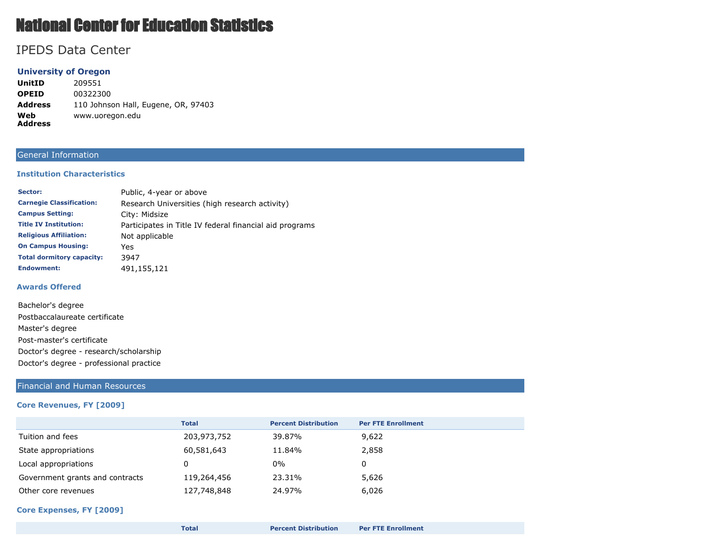# National Center for Education Statistics

# IPEDS Data Center

# **University of Oregon**

**UnitID** 209551 **OPEID** 00322300 **Address** 110 Johnson Hall, Eugene, OR, 97403 **Web Address** www.uoregon.edu

# General Information

#### **Institution Characteristics**

| Sector:                          | Public, 4-year or above                                 |
|----------------------------------|---------------------------------------------------------|
| <b>Carnegie Classification:</b>  | Research Universities (high research activity)          |
| <b>Campus Setting:</b>           | City: Midsize                                           |
| <b>Title IV Institution:</b>     | Participates in Title IV federal financial aid programs |
| <b>Religious Affiliation:</b>    | Not applicable                                          |
| <b>On Campus Housing:</b>        | Yes                                                     |
| <b>Total dormitory capacity:</b> | 3947                                                    |
| <b>Endowment:</b>                | 491,155,121                                             |

#### **Awards Offered**

| Bachelor's degree                       |  |  |
|-----------------------------------------|--|--|
| Postbaccalaureate certificate           |  |  |
| Master's degree                         |  |  |
| Post-master's certificate               |  |  |
| Doctor's degree - research/scholarship  |  |  |
| Doctor's degree - professional practice |  |  |

#### Financial and Human Resources

#### **Core Revenues, FY [2009]**

|                                 | <b>Total</b> | <b>Percent Distribution</b> | <b>Per FTE Enrollment</b> |
|---------------------------------|--------------|-----------------------------|---------------------------|
| Tuition and fees                | 203,973,752  | 39.87%                      | 9,622                     |
| State appropriations            | 60,581,643   | 11.84%                      | 2,858                     |
| Local appropriations            |              | $0\%$                       | 0                         |
| Government grants and contracts | 119,264,456  | 23.31%                      | 5,626                     |
| Other core revenues             | 127,748,848  | 24.97%                      | 6,026                     |

#### **Core Expenses, FY [2009]**

| Total | <b>Percent Distribution</b> | <b>Per FTE Enrollment</b> |
|-------|-----------------------------|---------------------------|
|       |                             |                           |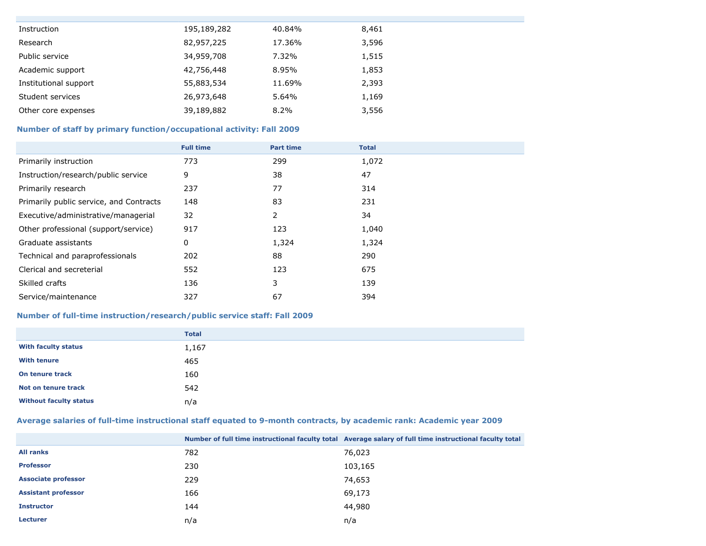| Instruction           | 195,189,282 | 40.84% | 8,461 |
|-----------------------|-------------|--------|-------|
| Research              | 82,957,225  | 17.36% | 3,596 |
| Public service        | 34,959,708  | 7.32%  | 1,515 |
| Academic support      | 42,756,448  | 8.95%  | 1,853 |
| Institutional support | 55,883,534  | 11.69% | 2,393 |
| Student services      | 26,973,648  | 5.64%  | 1,169 |
| Other core expenses   | 39,189,882  | 8.2%   | 3,556 |

# **Number of staff by primary function/occupational activity: Fall 2009**

|                                         | <b>Full time</b> | <b>Part time</b> | <b>Total</b> |
|-----------------------------------------|------------------|------------------|--------------|
| Primarily instruction                   | 773              | 299              | 1,072        |
| Instruction/research/public service     | 9                | 38               | 47           |
| Primarily research                      | 237              | 77               | 314          |
| Primarily public service, and Contracts | 148              | 83               | 231          |
| Executive/administrative/managerial     | 32               | 2                | 34           |
| Other professional (support/service)    | 917              | 123              | 1,040        |
| Graduate assistants                     | 0                | 1,324            | 1,324        |
| Technical and paraprofessionals         | 202              | 88               | 290          |
| Clerical and secreterial                | 552              | 123              | 675          |
| Skilled crafts                          | 136              | 3                | 139          |
| Service/maintenance                     | 327              | 67               | 394          |

# **Number of full-time instruction/research/public service staff: Fall 2009**

|                               | <b>Total</b> |
|-------------------------------|--------------|
| <b>With faculty status</b>    | 1,167        |
| <b>With tenure</b>            | 465          |
| On tenure track               | 160          |
| Not on tenure track           | 542          |
| <b>Without faculty status</b> | n/a          |

# **Average salaries of full-time instructional staff equated to 9-month contracts, by academic rank: Academic year 2009**

|                            |     | Number of full time instructional faculty total Average salary of full time instructional faculty total |
|----------------------------|-----|---------------------------------------------------------------------------------------------------------|
| <b>All ranks</b>           | 782 | 76,023                                                                                                  |
| <b>Professor</b>           | 230 | 103,165                                                                                                 |
| <b>Associate professor</b> | 229 | 74,653                                                                                                  |
| <b>Assistant professor</b> | 166 | 69,173                                                                                                  |
| <b>Instructor</b>          | 144 | 44,980                                                                                                  |
| <b>Lecturer</b>            | n/a | n/a                                                                                                     |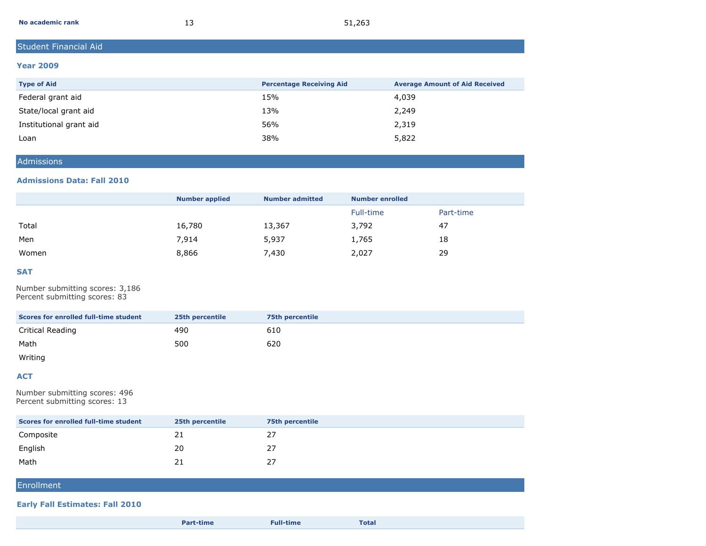| No academic rank | 51,263 |
|------------------|--------|
|------------------|--------|

# Student Financial Aid

#### **Year 2009**

| <b>Type of Aid</b>      | <b>Percentage Receiving Aid</b> | <b>Average Amount of Aid Received</b> |
|-------------------------|---------------------------------|---------------------------------------|
| Federal grant aid       | 15%                             | 4,039                                 |
| State/local grant aid   | 13%                             | 2,249                                 |
| Institutional grant aid | 56%                             | 2,319                                 |
| Loan                    | 38%                             | 5,822                                 |

#### Admissions

#### **Admissions Data: Fall 2010**

|       | <b>Number applied</b> | <b>Number admitted</b> | <b>Number enrolled</b> |           |
|-------|-----------------------|------------------------|------------------------|-----------|
|       |                       |                        | Full-time              | Part-time |
| Total | 16,780                | 13,367                 | 3,792                  | 47        |
| Men   | 7,914                 | 5,937                  | 1,765                  | 18        |
| Women | 8,866                 | 7,430                  | 2,027                  | 29        |

#### **SAT**

Number submitting scores: 3,186 Percent submitting scores: 83

| Scores for enrolled full-time student | 25th percentile | <b>75th percentile</b> |
|---------------------------------------|-----------------|------------------------|
| Critical Reading                      | 490             | 610                    |
| Math                                  | 500             | 620                    |

Writing

#### **ACT**

Number submitting scores: 496 Percent submitting scores: 13

| Scores for enrolled full-time student | 25th percentile | <b>75th percentile</b> |
|---------------------------------------|-----------------|------------------------|
| Composite                             | ᅩ               | 27                     |
| English                               | 20              | 27                     |
| Math                                  |                 | 27                     |

# **Enrollment**

#### **Early Fall Estimates: Fall 2010**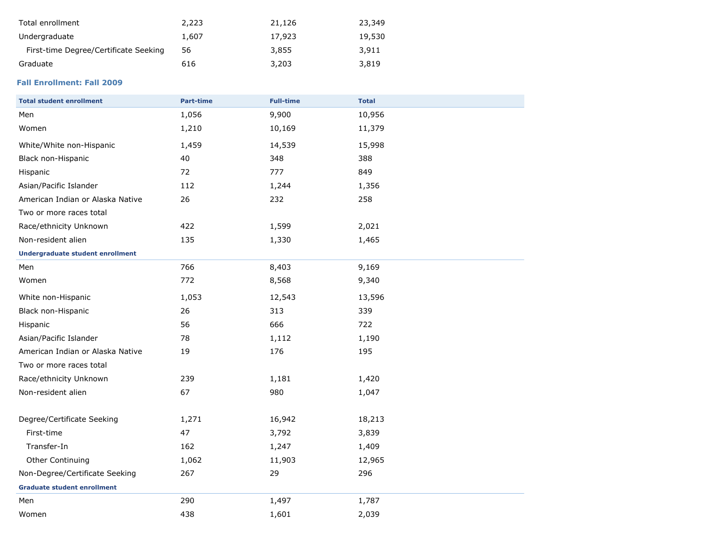| Total enrollment                      | 2,223 | 21,126 | 23,349 |
|---------------------------------------|-------|--------|--------|
| Undergraduate                         | 1,607 | 17,923 | 19,530 |
| First-time Degree/Certificate Seeking | 56    | 3,855  | 3,911  |
| Graduate                              | 616   | 3,203  | 3,819  |

# **Fall Enrollment: Fall 2009**

| <b>Total student enrollment</b>         | <b>Part-time</b> | <b>Full-time</b> | <b>Total</b> |
|-----------------------------------------|------------------|------------------|--------------|
| Men                                     | 1,056            | 9,900            | 10,956       |
| Women                                   | 1,210            | 10,169           | 11,379       |
| White/White non-Hispanic                | 1,459            | 14,539           | 15,998       |
| Black non-Hispanic                      | 40               | 348              | 388          |
| Hispanic                                | 72               | 777              | 849          |
| Asian/Pacific Islander                  | 112              | 1,244            | 1,356        |
| American Indian or Alaska Native        | 26               | 232              | 258          |
| Two or more races total                 |                  |                  |              |
| Race/ethnicity Unknown                  | 422              | 1,599            | 2,021        |
| Non-resident alien                      | 135              | 1,330            | 1,465        |
| <b>Undergraduate student enrollment</b> |                  |                  |              |
| Men                                     | 766              | 8,403            | 9,169        |
| Women                                   | 772              | 8,568            | 9,340        |
| White non-Hispanic                      | 1,053            | 12,543           | 13,596       |
| Black non-Hispanic                      | 26               | 313              | 339          |
| Hispanic                                | 56               | 666              | 722          |
| Asian/Pacific Islander                  | 78               | 1,112            | 1,190        |
| American Indian or Alaska Native        | 19               | 176              | 195          |
| Two or more races total                 |                  |                  |              |
| Race/ethnicity Unknown                  | 239              | 1,181            | 1,420        |
| Non-resident alien                      | 67               | 980              | 1,047        |
| Degree/Certificate Seeking              | 1,271            | 16,942           | 18,213       |
| First-time                              | 47               | 3,792            | 3,839        |
| Transfer-In                             | 162              | 1,247            | 1,409        |
| Other Continuing                        | 1,062            | 11,903           | 12,965       |
| Non-Degree/Certificate Seeking          | 267              | 29               | 296          |
| <b>Graduate student enrollment</b>      |                  |                  |              |
| Men                                     | 290              | 1,497            | 1,787        |
| Women                                   | 438              | 1,601            | 2,039        |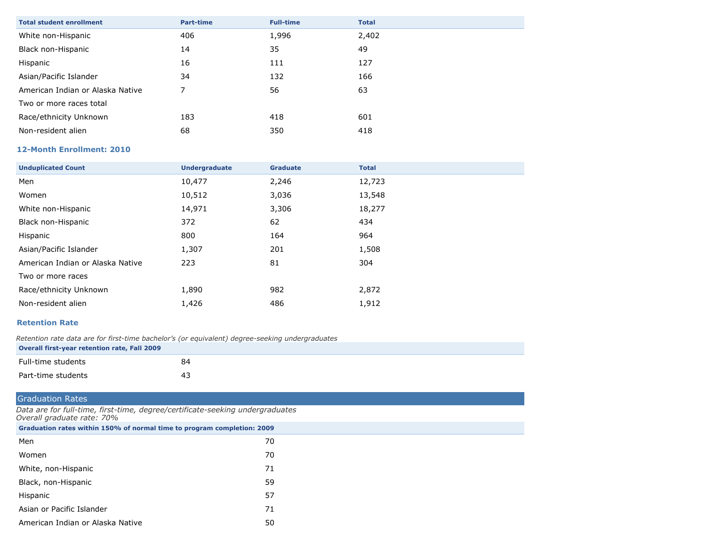| <b>Total student enrollment</b>  | <b>Part-time</b> | <b>Full-time</b> | <b>Total</b> |
|----------------------------------|------------------|------------------|--------------|
| White non-Hispanic               | 406              | 1,996            | 2,402        |
| Black non-Hispanic               | 14               | 35               | 49           |
| Hispanic                         | 16               | 111              | 127          |
| Asian/Pacific Islander           | 34               | 132              | 166          |
| American Indian or Alaska Native | 7                | 56               | 63           |
| Two or more races total          |                  |                  |              |
| Race/ethnicity Unknown           | 183              | 418              | 601          |
| Non-resident alien               | 68               | 350              | 418          |

#### **12-Month Enrollment: 2010**

| <b>Unduplicated Count</b>        | <b>Undergraduate</b> | <b>Graduate</b> | <b>Total</b> |
|----------------------------------|----------------------|-----------------|--------------|
| Men                              | 10,477               | 2,246           | 12,723       |
| Women                            | 10,512               | 3,036           | 13,548       |
| White non-Hispanic               | 14,971               | 3,306           | 18,277       |
| Black non-Hispanic               | 372                  | 62              | 434          |
| Hispanic                         | 800                  | 164             | 964          |
| Asian/Pacific Islander           | 1,307                | 201             | 1,508        |
| American Indian or Alaska Native | 223                  | 81              | 304          |
| Two or more races                |                      |                 |              |
| Race/ethnicity Unknown           | 1,890                | 982             | 2,872        |
| Non-resident alien               | 1,426                | 486             | 1,912        |

#### **Retention Rate**

*Retention rate data are for first-time bachelor's (or equivalent) degree-seeking undergraduates* **Overall first-year retention rate, Fall 2009**

| Full-time students | 84 |
|--------------------|----|
| Part-time students | 43 |

# Graduation Rates

*Data are for full-time, first-time, degree/certificate-seeking undergraduates Overall graduate rate: 70%*

| Graduation rates within 150% of normal time to program completion: 2009 |    |  |  |  |  |
|-------------------------------------------------------------------------|----|--|--|--|--|
| Men                                                                     | 70 |  |  |  |  |
| Women                                                                   | 70 |  |  |  |  |
| White, non-Hispanic                                                     | 71 |  |  |  |  |
| Black, non-Hispanic                                                     | 59 |  |  |  |  |
| Hispanic                                                                | 57 |  |  |  |  |
| Asian or Pacific Islander                                               | 71 |  |  |  |  |
| American Indian or Alaska Native                                        | 50 |  |  |  |  |